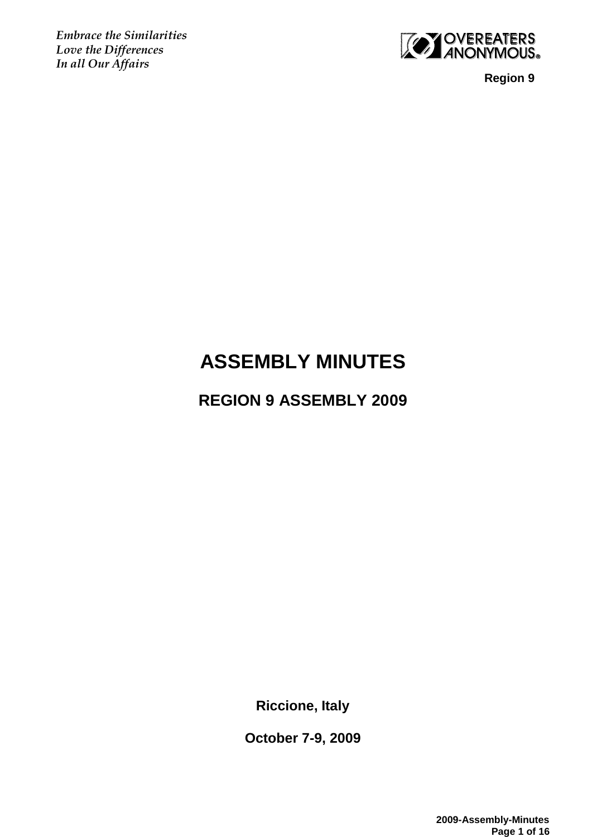*Embrace the Similarities Love the Differences In all Our Affairs*



 **Region 9**

# **ASSEMBLY MINUTES**

# **REGION 9 ASSEMBLY 2009**

**Riccione, Italy**

**October 7-9, 2009**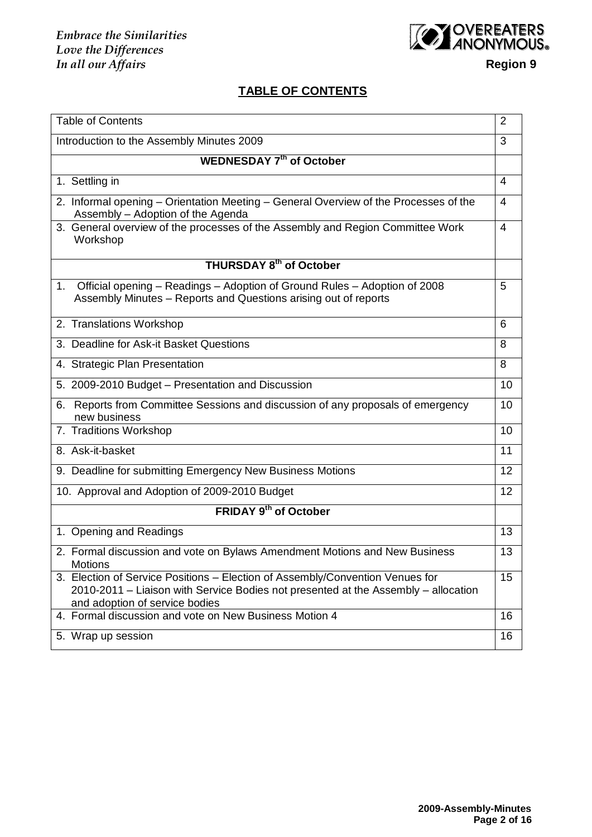*Embrace the Similarities Love the Differences In all our Affairs* **Region 9** 



# **TABLE OF CONTENTS**

| <b>Table of Contents</b>                                                                                                                                                                              |    |  |  |  |
|-------------------------------------------------------------------------------------------------------------------------------------------------------------------------------------------------------|----|--|--|--|
| Introduction to the Assembly Minutes 2009                                                                                                                                                             |    |  |  |  |
| <b>WEDNESDAY 7<sup>th</sup> of October</b>                                                                                                                                                            |    |  |  |  |
| 1. Settling in                                                                                                                                                                                        | 4  |  |  |  |
| 2. Informal opening - Orientation Meeting - General Overview of the Processes of the<br>Assembly - Adoption of the Agenda                                                                             | 4  |  |  |  |
| 3. General overview of the processes of the Assembly and Region Committee Work<br>Workshop                                                                                                            | 4  |  |  |  |
| <b>THURSDAY 8th of October</b>                                                                                                                                                                        |    |  |  |  |
| Official opening - Readings - Adoption of Ground Rules - Adoption of 2008<br>1 <sub>1</sub><br>Assembly Minutes - Reports and Questions arising out of reports                                        | 5  |  |  |  |
| 2. Translations Workshop                                                                                                                                                                              | 6  |  |  |  |
| 3. Deadline for Ask-it Basket Questions                                                                                                                                                               | 8  |  |  |  |
| 4. Strategic Plan Presentation                                                                                                                                                                        | 8  |  |  |  |
| 5. 2009-2010 Budget - Presentation and Discussion                                                                                                                                                     | 10 |  |  |  |
| Reports from Committee Sessions and discussion of any proposals of emergency<br>6.<br>new business                                                                                                    | 10 |  |  |  |
| 7. Traditions Workshop                                                                                                                                                                                | 10 |  |  |  |
| 8. Ask-it-basket                                                                                                                                                                                      | 11 |  |  |  |
| 9. Deadline for submitting Emergency New Business Motions                                                                                                                                             | 12 |  |  |  |
| 10. Approval and Adoption of 2009-2010 Budget                                                                                                                                                         | 12 |  |  |  |
| <b>FRIDAY 9th of October</b>                                                                                                                                                                          |    |  |  |  |
| 1. Opening and Readings                                                                                                                                                                               | 13 |  |  |  |
| 2. Formal discussion and vote on Bylaws Amendment Motions and New Business<br><b>Motions</b>                                                                                                          | 13 |  |  |  |
| 3. Election of Service Positions - Election of Assembly/Convention Venues for<br>2010-2011 – Liaison with Service Bodies not presented at the Assembly – allocation<br>and adoption of service bodies | 15 |  |  |  |
| 4. Formal discussion and vote on New Business Motion 4                                                                                                                                                | 16 |  |  |  |
| 5. Wrap up session                                                                                                                                                                                    | 16 |  |  |  |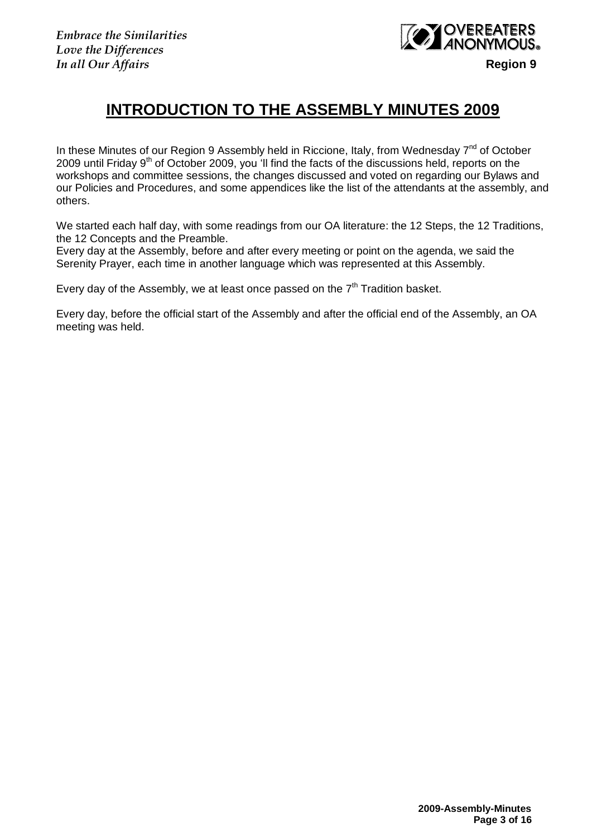*Embrace the Similarities Love the Differences In all Our Affairs* **Region 9**



# **INTRODUCTION TO THE ASSEMBLY MINUTES 2009**

In these Minutes of our Region 9 Assembly held in Riccione, Italy, from Wednesday 7<sup>nd</sup> of October 2009 until Friday  $9<sup>th</sup>$  of October 2009, you 'll find the facts of the discussions held, reports on the workshops and committee sessions, the changes discussed and voted on regarding our Bylaws and our Policies and Procedures, and some appendices like the list of the attendants at the assembly, and others.

We started each half day, with some readings from our OA literature: the 12 Steps, the 12 Traditions, the 12 Concepts and the Preamble.

Every day at the Assembly, before and after every meeting or point on the agenda, we said the Serenity Prayer, each time in another language which was represented at this Assembly.

Every day of the Assembly, we at least once passed on the  $7<sup>th</sup>$  Tradition basket.

Every day, before the official start of the Assembly and after the official end of the Assembly, an OA meeting was held.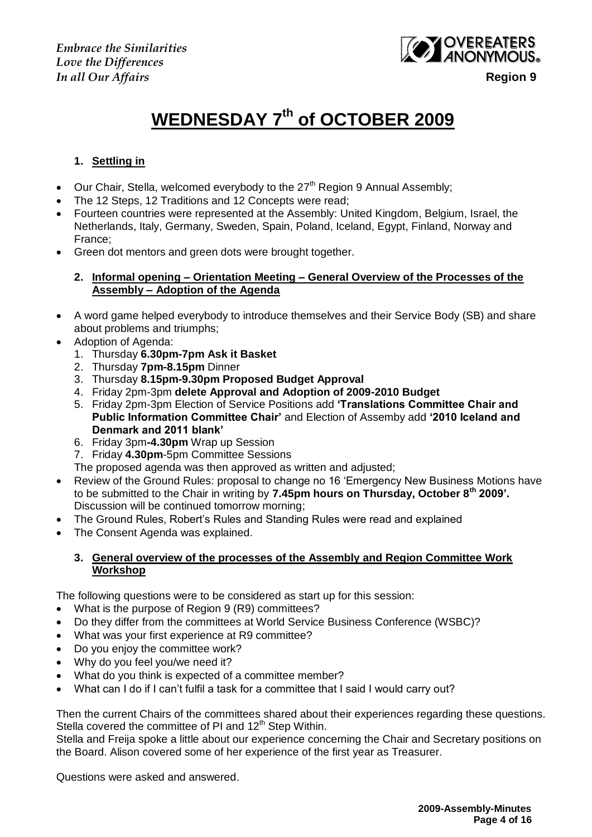

# **WEDNESDAY 7 th of OCTOBER 2009**

# **1. Settling in**

- $\bullet$  Our Chair, Stella, welcomed everybody to the 27<sup>th</sup> Region 9 Annual Assembly;
- The 12 Steps, 12 Traditions and 12 Concepts were read;
- Fourteen countries were represented at the Assembly: United Kingdom, Belgium, Israel, the Netherlands, Italy, Germany, Sweden, Spain, Poland, Iceland, Egypt, Finland, Norway and France;
- Green dot mentors and green dots were brought together.

#### **2. Informal opening – Orientation Meeting – General Overview of the Processes of the Assembly – Adoption of the Agenda**

- A word game helped everybody to introduce themselves and their Service Body (SB) and share about problems and triumphs;
- Adoption of Agenda:
	- 1. Thursday **6.30pm-7pm Ask it Basket**
	- 2. Thursday **7pm-8.15pm** Dinner
	- 3. Thursday **8.15pm-9.30pm Proposed Budget Approval**
	- 4. Friday 2pm-3pm **delete Approval and Adoption of 2009-2010 Budget**
	- 5. Friday 2pm-3pm Election of Service Positions add **"Translations Committee Chair and Public Information Committee Chair"** and Election of Assemby add **"2010 Iceland and Denmark and 2011 blank"**
	- 6. Friday 3pm**-4.30pm** Wrap up Session
	- 7. Friday **4.30pm**-5pm Committee Sessions
	- The proposed agenda was then approved as written and adjusted;
- Review of the Ground Rules: proposal to change no 16 "Emergency New Business Motions have to be submitted to the Chair in writing by **7.45pm hours on Thursday, October 8th 2009".**  Discussion will be continued tomorrow morning;
- The Ground Rules, Robert's Rules and Standing Rules were read and explained
- The Consent Agenda was explained.

#### **3. General overview of the processes of the Assembly and Region Committee Work Workshop**

The following questions were to be considered as start up for this session:

- What is the purpose of Region 9 (R9) committees?
- Do they differ from the committees at World Service Business Conference (WSBC)?
- What was your first experience at R9 committee?
- Do you enjoy the committee work?
- Why do you feel you/we need it?
- What do you think is expected of a committee member?
- What can I do if I can"t fulfil a task for a committee that I said I would carry out?

Then the current Chairs of the committees shared about their experiences regarding these questions. Stella covered the committee of PI and  $12<sup>th</sup>$  Step Within.

Stella and Freija spoke a little about our experience concerning the Chair and Secretary positions on the Board. Alison covered some of her experience of the first year as Treasurer.

Questions were asked and answered.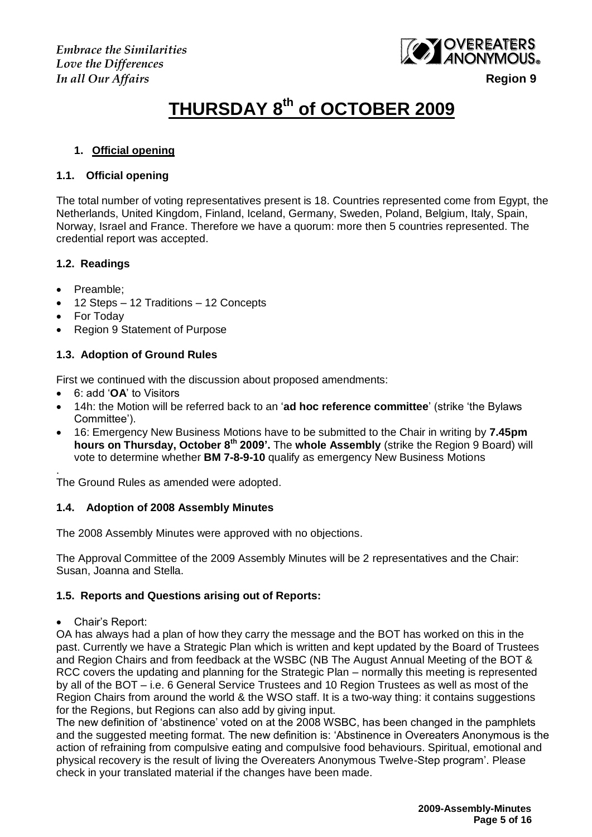

**THURSDAY 8th of OCTOBER 2009**

#### **1. Official opening**

#### **1.1. Official opening**

The total number of voting representatives present is 18. Countries represented come from Egypt, the Netherlands, United Kingdom, Finland, Iceland, Germany, Sweden, Poland, Belgium, Italy, Spain, Norway, Israel and France. Therefore we have a quorum: more then 5 countries represented. The credential report was accepted.

#### **1.2. Readings**

- Preamble:
- 12 Steps 12 Traditions 12 Concepts
- For Today
- Region 9 Statement of Purpose

#### **1.3. Adoption of Ground Rules**

First we continued with the discussion about proposed amendments:

- 6: add "**OA**" to Visitors
- 14h: the Motion will be referred back to an "**ad hoc reference committee**" (strike "the Bylaws Committee').
- 16: Emergency New Business Motions have to be submitted to the Chair in writing by **7.45pm hours on Thursday, October 8th 2009".** The **whole Assembly** (strike the Region 9 Board) will vote to determine whether **BM 7-8-9-10** qualify as emergency New Business Motions

. The Ground Rules as amended were adopted.

#### **1.4. Adoption of 2008 Assembly Minutes**

The 2008 Assembly Minutes were approved with no objections.

The Approval Committee of the 2009 Assembly Minutes will be 2 representatives and the Chair: Susan, Joanna and Stella.

#### **1.5. Reports and Questions arising out of Reports:**

• Chair's Report:

OA has always had a plan of how they carry the message and the BOT has worked on this in the past. Currently we have a Strategic Plan which is written and kept updated by the Board of Trustees and Region Chairs and from feedback at the WSBC (NB The August Annual Meeting of the BOT & RCC covers the updating and planning for the Strategic Plan – normally this meeting is represented by all of the BOT – i.e. 6 General Service Trustees and 10 Region Trustees as well as most of the Region Chairs from around the world & the WSO staff. It is a two-way thing: it contains suggestions for the Regions, but Regions can also add by giving input.

The new definition of "abstinence" voted on at the 2008 WSBC, has been changed in the pamphlets and the suggested meeting format. The new definition is: "Abstinence in Overeaters Anonymous is the action of refraining from compulsive eating and compulsive food behaviours. Spiritual, emotional and physical recovery is the result of living the Overeaters Anonymous Twelve-Step program". Please check in your translated material if the changes have been made.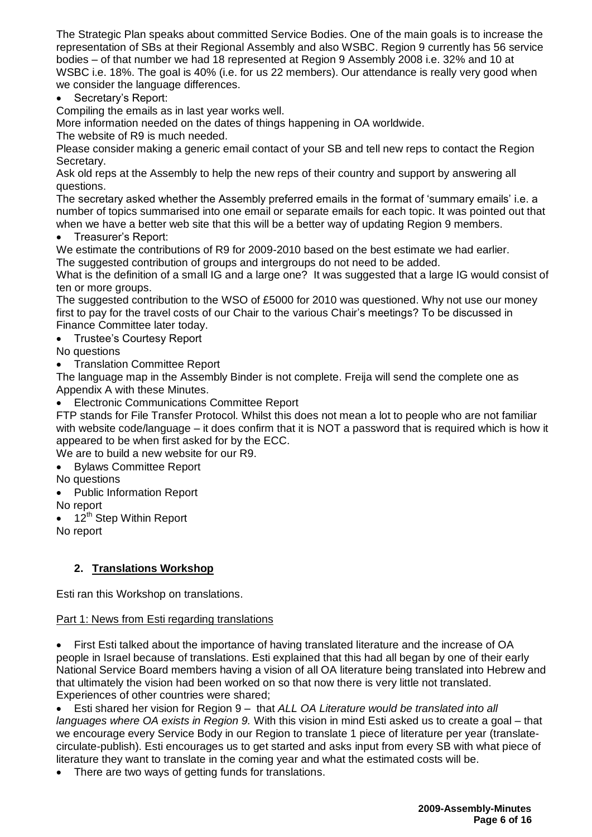The Strategic Plan speaks about committed Service Bodies. One of the main goals is to increase the representation of SBs at their Regional Assembly and also WSBC. Region 9 currently has 56 service bodies – of that number we had 18 represented at Region 9 Assembly 2008 i.e. 32% and 10 at WSBC i.e. 18%. The goal is 40% (i.e. for us 22 members). Our attendance is really very good when we consider the language differences.

Secretary"s Report:

Compiling the emails as in last year works well.

More information needed on the dates of things happening in OA worldwide.

The website of R9 is much needed.

Please consider making a generic email contact of your SB and tell new reps to contact the Region Secretary.

Ask old reps at the Assembly to help the new reps of their country and support by answering all questions.

The secretary asked whether the Assembly preferred emails in the format of "summary emails" i.e. a number of topics summarised into one email or separate emails for each topic. It was pointed out that when we have a better web site that this will be a better way of updating Region 9 members.

Treasurer"s Report:

We estimate the contributions of R9 for 2009-2010 based on the best estimate we had earlier. The suggested contribution of groups and intergroups do not need to be added.

What is the definition of a small IG and a large one? It was suggested that a large IG would consist of ten or more groups.

The suggested contribution to the WSO of £5000 for 2010 was questioned. Why not use our money first to pay for the travel costs of our Chair to the various Chair"s meetings? To be discussed in Finance Committee later today.

Trustee"s Courtesy Report

No questions

Translation Committee Report

The language map in the Assembly Binder is not complete. Freija will send the complete one as Appendix A with these Minutes.

Electronic Communications Committee Report

FTP stands for File Transfer Protocol. Whilst this does not mean a lot to people who are not familiar with website code/language – it does confirm that it is NOT a password that is required which is how it appeared to be when first asked for by the ECC.

We are to build a new website for our R9.

Bylaws Committee Report

No questions

- Public Information Report
- No report
- 12<sup>th</sup> Step Within Report

No report

# **2. Translations Workshop**

Esti ran this Workshop on translations.

#### Part 1: News from Esti regarding translations

 First Esti talked about the importance of having translated literature and the increase of OA people in Israel because of translations. Esti explained that this had all began by one of their early National Service Board members having a vision of all OA literature being translated into Hebrew and that ultimately the vision had been worked on so that now there is very little not translated. Experiences of other countries were shared;

 Esti shared her vision for Region 9 – that *ALL OA Literature would be translated into all languages where OA exists in Region 9.* With this vision in mind Esti asked us to create a goal – that we encourage every Service Body in our Region to translate 1 piece of literature per year (translatecirculate-publish). Esti encourages us to get started and asks input from every SB with what piece of literature they want to translate in the coming year and what the estimated costs will be.

• There are two ways of getting funds for translations.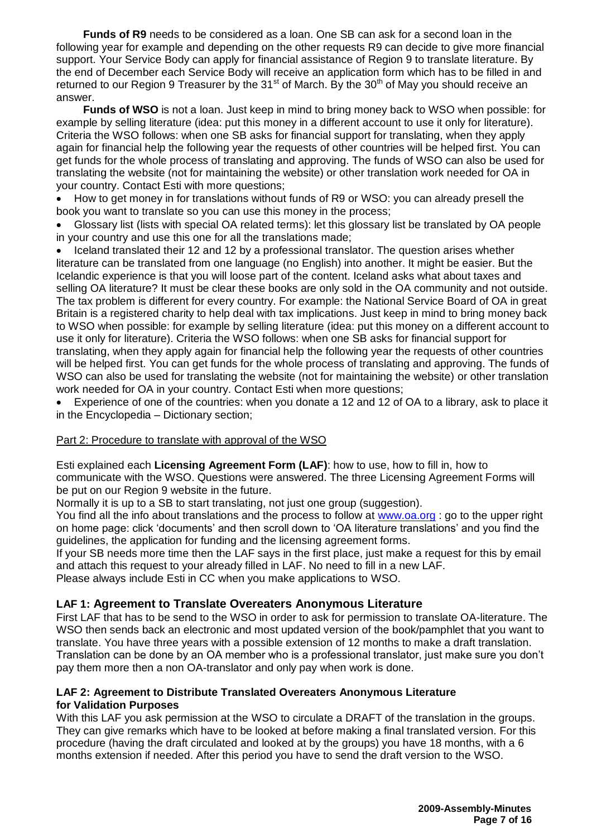**Funds of R9** needs to be considered as a loan. One SB can ask for a second loan in the following year for example and depending on the other requests R9 can decide to give more financial support. Your Service Body can apply for financial assistance of Region 9 to translate literature. By the end of December each Service Body will receive an application form which has to be filled in and returned to our Region 9 Treasurer by the 31 $\mathrm{^{st}}$  of March. By the 30<sup>th</sup> of May you should receive an answer.

**Funds of WSO** is not a loan. Just keep in mind to bring money back to WSO when possible: for example by selling literature (idea: put this money in a different account to use it only for literature). Criteria the WSO follows: when one SB asks for financial support for translating, when they apply again for financial help the following year the requests of other countries will be helped first. You can get funds for the whole process of translating and approving. The funds of WSO can also be used for translating the website (not for maintaining the website) or other translation work needed for OA in your country. Contact Esti with more questions;

 How to get money in for translations without funds of R9 or WSO: you can already presell the book you want to translate so you can use this money in the process;

 Glossary list (lists with special OA related terms): let this glossary list be translated by OA people in your country and use this one for all the translations made;

 Iceland translated their 12 and 12 by a professional translator. The question arises whether literature can be translated from one language (no English) into another. It might be easier. But the Icelandic experience is that you will loose part of the content. Iceland asks what about taxes and selling OA literature? It must be clear these books are only sold in the OA community and not outside. The tax problem is different for every country. For example: the National Service Board of OA in great Britain is a registered charity to help deal with tax implications. Just keep in mind to bring money back to WSO when possible: for example by selling literature (idea: put this money on a different account to use it only for literature). Criteria the WSO follows: when one SB asks for financial support for translating, when they apply again for financial help the following year the requests of other countries will be helped first. You can get funds for the whole process of translating and approving. The funds of WSO can also be used for translating the website (not for maintaining the website) or other translation work needed for OA in your country. Contact Esti when more questions;

 Experience of one of the countries: when you donate a 12 and 12 of OA to a library, ask to place it in the Encyclopedia – Dictionary section;

#### Part 2: Procedure to translate with approval of the WSO

Esti explained each **Licensing Agreement Form (LAF)**: how to use, how to fill in, how to communicate with the WSO. Questions were answered. The three Licensing Agreement Forms will be put on our Region 9 website in the future.

Normally it is up to a SB to start translating, not just one group (suggestion).

You find all the info about translations and the process to follow at [www.oa.org](http://www.oa.org/) : go to the upper right on home page: click "documents" and then scroll down to "OA literature translations" and you find the guidelines, the application for funding and the licensing agreement forms.

If your SB needs more time then the LAF says in the first place, just make a request for this by email and attach this request to your already filled in LAF. No need to fill in a new LAF.

Please always include Esti in CC when you make applications to WSO.

# **LAF 1: Agreement to Translate Overeaters Anonymous Literature**

First LAF that has to be send to the WSO in order to ask for permission to translate OA-literature. The WSO then sends back an electronic and most updated version of the book/pamphlet that you want to translate. You have three years with a possible extension of 12 months to make a draft translation. Translation can be done by an OA member who is a professional translator, just make sure you don"t pay them more then a non OA-translator and only pay when work is done.

#### **LAF 2: Agreement to Distribute Translated Overeaters Anonymous Literature for Validation Purposes**

With this LAF you ask permission at the WSO to circulate a DRAFT of the translation in the groups. They can give remarks which have to be looked at before making a final translated version. For this procedure (having the draft circulated and looked at by the groups) you have 18 months, with a 6 months extension if needed. After this period you have to send the draft version to the WSO.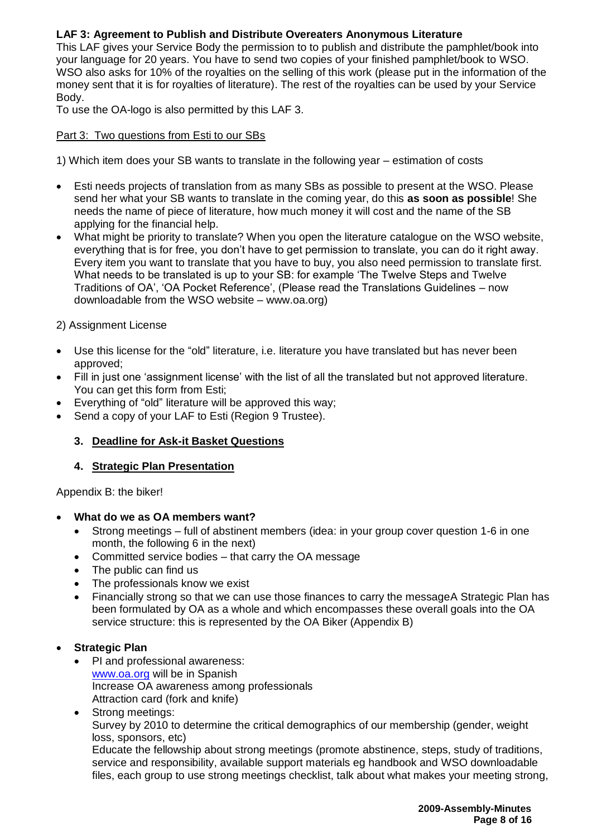# **LAF 3: Agreement to Publish and Distribute Overeaters Anonymous Literature**

This LAF gives your Service Body the permission to to publish and distribute the pamphlet/book into your language for 20 years. You have to send two copies of your finished pamphlet/book to WSO. WSO also asks for 10% of the royalties on the selling of this work (please put in the information of the money sent that it is for royalties of literature). The rest of the royalties can be used by your Service Body.

To use the OA-logo is also permitted by this LAF 3.

## Part 3: Two questions from Esti to our SBs

1) Which item does your SB wants to translate in the following year – estimation of costs

- Esti needs projects of translation from as many SBs as possible to present at the WSO. Please send her what your SB wants to translate in the coming year, do this **as soon as possible**! She needs the name of piece of literature, how much money it will cost and the name of the SB applying for the financial help.
- What might be priority to translate? When you open the literature catalogue on the WSO website, everything that is for free, you don"t have to get permission to translate, you can do it right away. Every item you want to translate that you have to buy, you also need permission to translate first. What needs to be translated is up to your SB: for example "The Twelve Steps and Twelve Traditions of OA", "OA Pocket Reference", (Please read the Translations Guidelines – now downloadable from the WSO website – www.oa.org)

### 2) Assignment License

- Use this license for the "old" literature, i.e. literature you have translated but has never been approved;
- Fill in just one "assignment license" with the list of all the translated but not approved literature. You can get this form from Esti;
- Everything of "old" literature will be approved this way;
- Send a copy of your LAF to Esti (Region 9 Trustee).

# **3. Deadline for Ask-it Basket Questions**

# **4. Strategic Plan Presentation**

Appendix B: the biker!

- **What do we as OA members want?**
	- Strong meetings full of abstinent members (idea: in your group cover question 1-6 in one month, the following 6 in the next)
	- Committed service bodies that carry the OA message
	- The public can find us
	- The professionals know we exist
	- Financially strong so that we can use those finances to carry the messageA Strategic Plan has been formulated by OA as a whole and which encompasses these overall goals into the OA service structure: this is represented by the OA Biker (Appendix B)

#### **Strategic Plan**

- PI and professional awareness: [www.oa.org](http://www.oa.org/) will be in Spanish Increase OA awareness among professionals Attraction card (fork and knife)
- Strong meetings: Survey by 2010 to determine the critical demographics of our membership (gender, weight loss, sponsors, etc)

Educate the fellowship about strong meetings (promote abstinence, steps, study of traditions, service and responsibility, available support materials eg handbook and WSO downloadable files, each group to use strong meetings checklist, talk about what makes your meeting strong,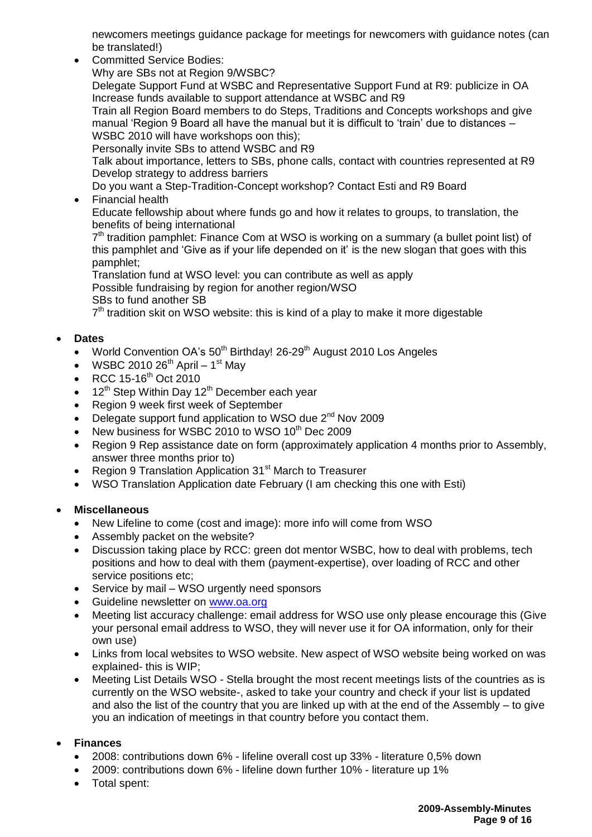newcomers meetings guidance package for meetings for newcomers with guidance notes (can be translated!)

• Committed Service Bodies: Why are SBs not at Region 9/WSBC? Delegate Support Fund at WSBC and Representative Support Fund at R9: publicize in OA Increase funds available to support attendance at WSBC and R9 Train all Region Board members to do Steps, Traditions and Concepts workshops and give manual 'Region 9 Board all have the manual but it is difficult to 'train' due to distances – WSBC 2010 will have workshops oon this); Personally invite SBs to attend WSBC and R9 Talk about importance, letters to SBs, phone calls, contact with countries represented at R9 Develop strategy to address barriers Do you want a Step-Tradition-Concept workshop? Contact Esti and R9 Board • Financial health Educate fellowship about where funds go and how it relates to groups, to translation, the

benefits of being international 7<sup>th</sup> tradition pamphlet: Finance Com at WSO is working on a summary (a bullet point list) of

this pamphlet and 'Give as if your life depended on it' is the new slogan that goes with this pamphlet;

Translation fund at WSO level: you can contribute as well as apply

Possible fundraising by region for another region/WSO

SBs to fund another SB

 $7<sup>th</sup>$  tradition skit on WSO website: this is kind of a play to make it more digestable

# **Dates**

- World Convention OA's  $50<sup>th</sup>$  Birthday! 26-29<sup>th</sup> August 2010 Los Angeles
- WSBC 2010  $26^{th}$  April 1<sup>st</sup> May
- RCC  $15-16^{th}$  Oct 2010
- $\bullet$  12<sup>th</sup> Step Within Day 12<sup>th</sup> December each year
- Region 9 week first week of September
- Delegate support fund application to WSO due  $2^{nd}$  Nov 2009
- New business for WSBC 2010 to WSO 10<sup>th</sup> Dec 2009
- Region 9 Rep assistance date on form (approximately application 4 months prior to Assembly, answer three months prior to)
- Region 9 Translation Application 31<sup>st</sup> March to Treasurer
- WSO Translation Application date February (I am checking this one with Esti)

# **Miscellaneous**

- New Lifeline to come (cost and image): more info will come from WSO
- Assembly packet on the website?
- Discussion taking place by RCC: green dot mentor WSBC, how to deal with problems, tech positions and how to deal with them (payment-expertise), over loading of RCC and other service positions etc;
- Service by mail WSO urgently need sponsors
- Guideline newsletter on [www.oa.org](http://www.oa.org/)
- Meeting list accuracy challenge: email address for WSO use only please encourage this (Give your personal email address to WSO, they will never use it for OA information, only for their own use)
- Links from local websites to WSO website. New aspect of WSO website being worked on was explained- this is WIP;
- Meeting List Details WSO Stella brought the most recent meetings lists of the countries as is currently on the WSO website-, asked to take your country and check if your list is updated and also the list of the country that you are linked up with at the end of the Assembly – to give you an indication of meetings in that country before you contact them.

# **Finances**

- 2008: contributions down 6% lifeline overall cost up 33% literature 0,5% down
- 2009: contributions down 6% lifeline down further 10% literature up 1%
- Total spent: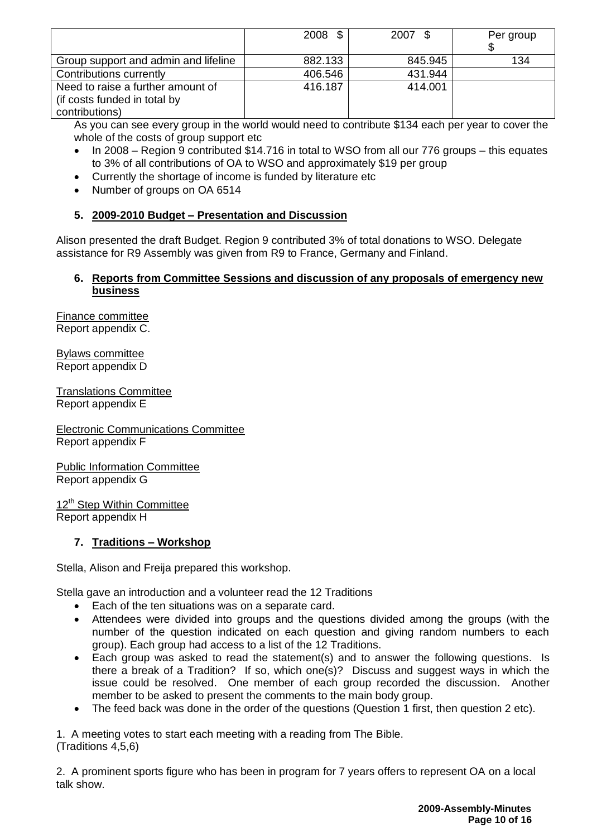|                                      | 2008<br>-\$ | 2007    | Per group |
|--------------------------------------|-------------|---------|-----------|
|                                      |             |         |           |
| Group support and admin and lifeline | 882.133     | 845.945 | 134       |
| Contributions currently              | 406.546     | 431.944 |           |
| Need to raise a further amount of    | 416.187     | 414.001 |           |
| (if costs funded in total by         |             |         |           |
| contributions)                       |             |         |           |

As you can see every group in the world would need to contribute \$134 each per year to cover the whole of the costs of group support etc

- In 2008 Region 9 contributed \$14.716 in total to WSO from all our 776 groups this equates to 3% of all contributions of OA to WSO and approximately \$19 per group
- Currently the shortage of income is funded by literature etc
- Number of groups on OA 6514

# **5. 2009-2010 Budget – Presentation and Discussion**

Alison presented the draft Budget. Region 9 contributed 3% of total donations to WSO. Delegate assistance for R9 Assembly was given from R9 to France, Germany and Finland.

#### **6. Reports from Committee Sessions and discussion of any proposals of emergency new business**

Finance committee Report appendix C.

Bylaws committee Report appendix D

Translations Committee Report appendix E

Electronic Communications Committee Report appendix F

Public Information Committee Report appendix G

12<sup>th</sup> Step Within Committee Report appendix H

# **7. Traditions – Workshop**

Stella, Alison and Freija prepared this workshop.

Stella gave an introduction and a volunteer read the 12 Traditions

- Each of the ten situations was on a separate card.
- Attendees were divided into groups and the questions divided among the groups (with the number of the question indicated on each question and giving random numbers to each group). Each group had access to a list of the 12 Traditions.
- Each group was asked to read the statement(s) and to answer the following questions. Is there a break of a Tradition? If so, which one(s)? Discuss and suggest ways in which the issue could be resolved. One member of each group recorded the discussion. Another member to be asked to present the comments to the main body group.
- The feed back was done in the order of the questions (Question 1 first, then question 2 etc).

1. A meeting votes to start each meeting with a reading from The Bible. (Traditions 4,5,6)

2. A prominent sports figure who has been in program for 7 years offers to represent OA on a local talk show.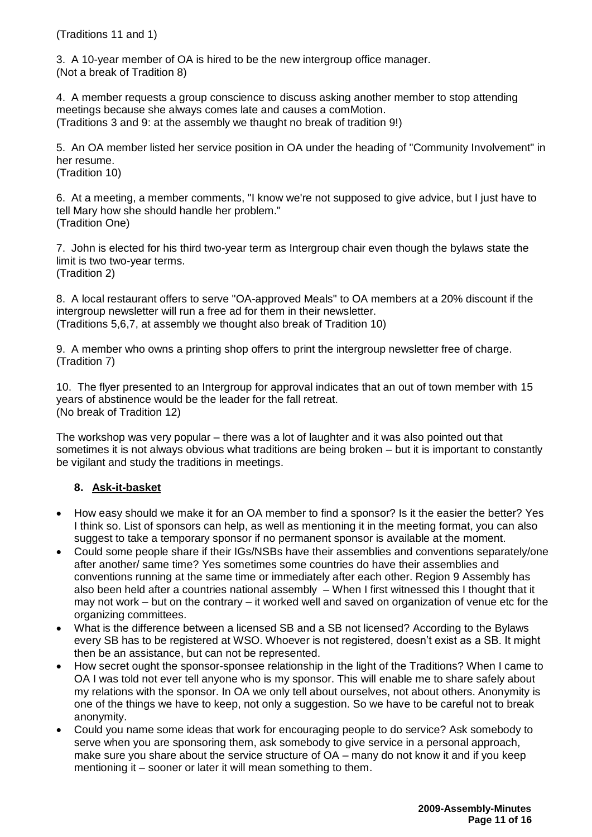(Traditions 11 and 1)

3. A 10-year member of OA is hired to be the new intergroup office manager. (Not a break of Tradition 8)

4. A member requests a group conscience to discuss asking another member to stop attending meetings because she always comes late and causes a comMotion. (Traditions 3 and 9: at the assembly we thaught no break of tradition 9!)

5. An OA member listed her service position in OA under the heading of "Community Involvement" in her resume.

(Tradition 10)

6. At a meeting, a member comments, "I know we're not supposed to give advice, but I just have to tell Mary how she should handle her problem." (Tradition One)

7. John is elected for his third two-year term as Intergroup chair even though the bylaws state the limit is two two-year terms. (Tradition 2)

8. A local restaurant offers to serve "OA-approved Meals" to OA members at a 20% discount if the intergroup newsletter will run a free ad for them in their newsletter. (Traditions 5,6,7, at assembly we thought also break of Tradition 10)

9. A member who owns a printing shop offers to print the intergroup newsletter free of charge. (Tradition 7)

10. The flyer presented to an Intergroup for approval indicates that an out of town member with 15 years of abstinence would be the leader for the fall retreat. (No break of Tradition 12)

The workshop was very popular – there was a lot of laughter and it was also pointed out that sometimes it is not always obvious what traditions are being broken – but it is important to constantly be vigilant and study the traditions in meetings.

# **8. Ask-it-basket**

- How easy should we make it for an OA member to find a sponsor? Is it the easier the better? Yes I think so. List of sponsors can help, as well as mentioning it in the meeting format, you can also suggest to take a temporary sponsor if no permanent sponsor is available at the moment.
- Could some people share if their IGs/NSBs have their assemblies and conventions separately/one after another/ same time? Yes sometimes some countries do have their assemblies and conventions running at the same time or immediately after each other. Region 9 Assembly has also been held after a countries national assembly – When I first witnessed this I thought that it may not work – but on the contrary – it worked well and saved on organization of venue etc for the organizing committees.
- What is the difference between a licensed SB and a SB not licensed? According to the Bylaws every SB has to be registered at WSO. Whoever is not registered, doesn"t exist as a SB. It might then be an assistance, but can not be represented.
- How secret ought the sponsor-sponsee relationship in the light of the Traditions? When I came to OA I was told not ever tell anyone who is my sponsor. This will enable me to share safely about my relations with the sponsor. In OA we only tell about ourselves, not about others. Anonymity is one of the things we have to keep, not only a suggestion. So we have to be careful not to break anonymity.
- Could you name some ideas that work for encouraging people to do service? Ask somebody to serve when you are sponsoring them, ask somebody to give service in a personal approach, make sure you share about the service structure of OA – many do not know it and if you keep mentioning it – sooner or later it will mean something to them.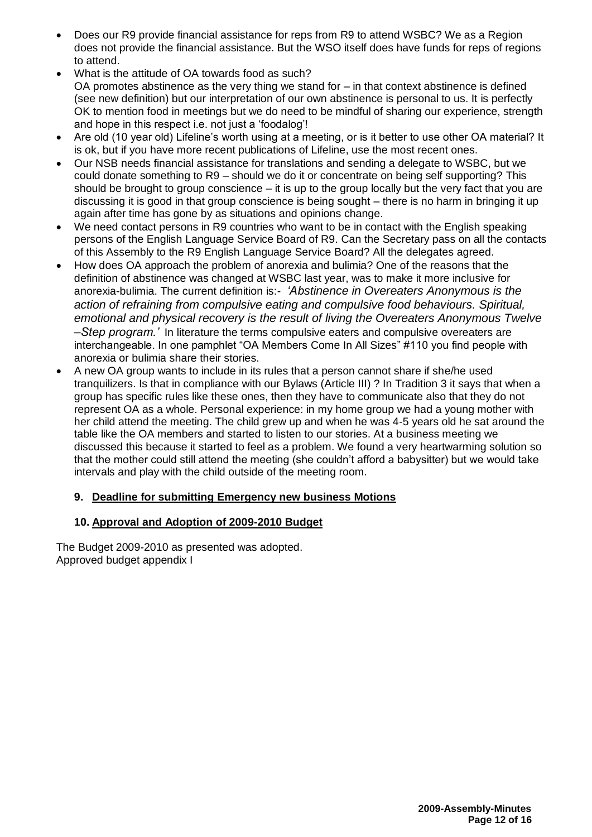- Does our R9 provide financial assistance for reps from R9 to attend WSBC? We as a Region does not provide the financial assistance. But the WSO itself does have funds for reps of regions to attend.
- What is the attitude of OA towards food as such? OA promotes abstinence as the very thing we stand for  $-$  in that context abstinence is defined (see new definition) but our interpretation of our own abstinence is personal to us. It is perfectly OK to mention food in meetings but we do need to be mindful of sharing our experience, strength and hope in this respect i.e. not just a "foodalog"!
- Are old (10 year old) Lifeline"s worth using at a meeting, or is it better to use other OA material? It is ok, but if you have more recent publications of Lifeline, use the most recent ones.
- Our NSB needs financial assistance for translations and sending a delegate to WSBC, but we could donate something to R9 – should we do it or concentrate on being self supporting? This should be brought to group conscience – it is up to the group locally but the very fact that you are discussing it is good in that group conscience is being sought – there is no harm in bringing it up again after time has gone by as situations and opinions change.
- We need contact persons in R9 countries who want to be in contact with the English speaking persons of the English Language Service Board of R9. Can the Secretary pass on all the contacts of this Assembly to the R9 English Language Service Board? All the delegates agreed.
- How does OA approach the problem of anorexia and bulimia? One of the reasons that the definition of abstinence was changed at WSBC last year, was to make it more inclusive for anorexia-bulimia. The current definition is:- *'Abstinence in Overeaters Anonymous is the action of refraining from compulsive eating and compulsive food behaviours. Spiritual, emotional and physical recovery is the result of living the Overeaters Anonymous Twelve –Step program.'* In literature the terms compulsive eaters and compulsive overeaters are interchangeable. In one pamphlet "OA Members Come In All Sizes" #110 you find people with anorexia or bulimia share their stories.
- A new OA group wants to include in its rules that a person cannot share if she/he used tranquilizers. Is that in compliance with our Bylaws (Article III) ? In Tradition 3 it says that when a group has specific rules like these ones, then they have to communicate also that they do not represent OA as a whole. Personal experience: in my home group we had a young mother with her child attend the meeting. The child grew up and when he was 4-5 years old he sat around the table like the OA members and started to listen to our stories. At a business meeting we discussed this because it started to feel as a problem. We found a very heartwarming solution so that the mother could still attend the meeting (she couldn"t afford a babysitter) but we would take intervals and play with the child outside of the meeting room.

# **9. Deadline for submitting Emergency new business Motions**

# **10. Approval and Adoption of 2009-2010 Budget**

The Budget 2009-2010 as presented was adopted. Approved budget appendix I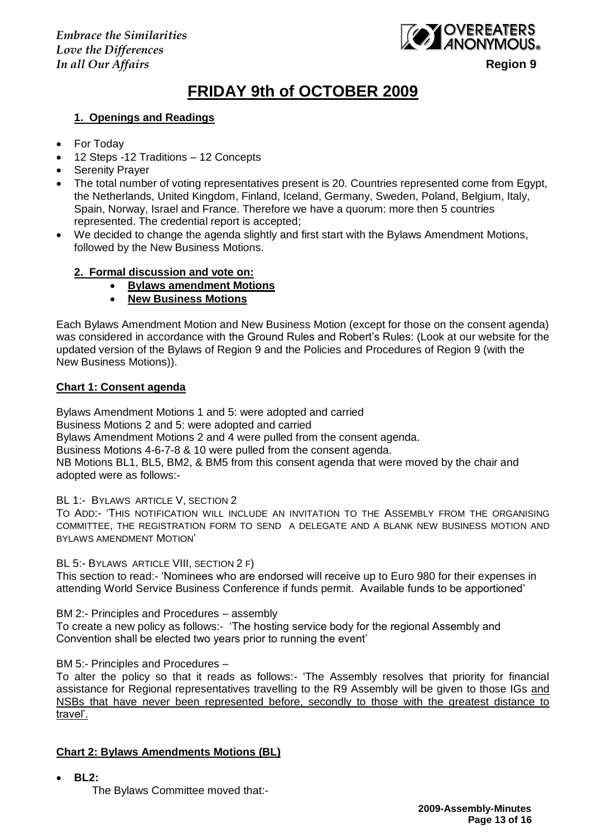*Embrace the Similarities Love the Differences In all Our Affairs* **Region 9**



# **FRIDAY 9th of OCTOBER 2009**

## **1. Openings and Readings**

- For Today
- 12 Steps -12 Traditions 12 Concepts
- Serenity Prayer
- The total number of voting representatives present is 20. Countries represented come from Egypt, the Netherlands, United Kingdom, Finland, Iceland, Germany, Sweden, Poland, Belgium, Italy, Spain, Norway, Israel and France. Therefore we have a quorum: more then 5 countries represented. The credential report is accepted;
- We decided to change the agenda slightly and first start with the Bylaws Amendment Motions, followed by the New Business Motions.

### **2. Formal discussion and vote on:**

- **Bylaws amendment Motions**
- **New Business Motions**

Each Bylaws Amendment Motion and New Business Motion (except for those on the consent agenda) was considered in accordance with the Ground Rules and Robert"s Rules: (Look at our website for the updated version of the Bylaws of Region 9 and the Policies and Procedures of Region 9 (with the New Business Motions)).

### **Chart 1: Consent agenda**

Bylaws Amendment Motions 1 and 5: were adopted and carried Business Motions 2 and 5: were adopted and carried Bylaws Amendment Motions 2 and 4 were pulled from the consent agenda. Business Motions 4-6-7-8 & 10 were pulled from the consent agenda. NB Motions BL1, BL5, BM2, & BM5 from this consent agenda that were moved by the chair and adopted were as follows:-

#### BL 1:- BYLAWS ARTICLE V, SECTION 2

TO ADD:- "THIS NOTIFICATION WILL INCLUDE AN INVITATION TO THE ASSEMBLY FROM THE ORGANISING COMMITTEE, THE REGISTRATION FORM TO SEND A DELEGATE AND A BLANK NEW BUSINESS MOTION AND BYLAWS AMENDMENT MOTION"

#### BL 5:- BYLAWS ARTICLE VIII, SECTION 2 F)

This section to read:- "Nominees who are endorsed will receive up to Euro 980 for their expenses in attending World Service Business Conference if funds permit. Available funds to be apportioned"

BM 2:- Principles and Procedures – assembly

To create a new policy as follows:- "The hosting service body for the regional Assembly and Convention shall be elected two years prior to running the event"

BM 5:- Principles and Procedures –

To alter the policy so that it reads as follows:- "The Assembly resolves that priority for financial assistance for Regional representatives travelling to the R9 Assembly will be given to those IGs and NSBs that have never been represented before, secondly to those with the greatest distance to travel".

# **Chart 2: Bylaws Amendments Motions (BL)**

**BL2:** 

The Bylaws Committee moved that:-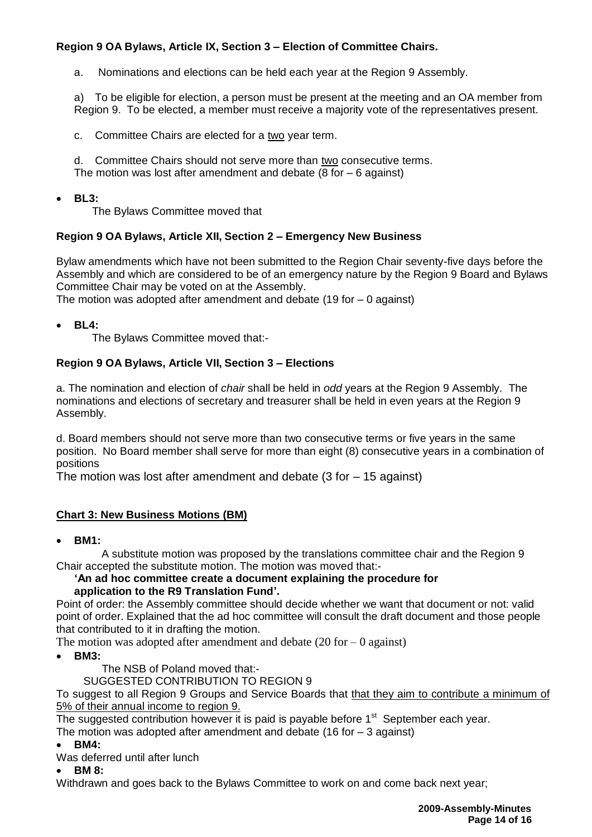# **Region 9 OA Bylaws, Article IX, Section 3 – Election of Committee Chairs.**

a. Nominations and elections can be held each year at the Region 9 Assembly.

a) To be eligible for election, a person must be present at the meeting and an OA member from Region 9. To be elected, a member must receive a majority vote of the representatives present.

c. Committee Chairs are elected for a two year term.

d. Committee Chairs should not serve more than two consecutive terms. The motion was lost after amendment and debate (8 for – 6 against)

**BL3:** 

The Bylaws Committee moved that

#### **Region 9 OA Bylaws, Article XII, Section 2 – Emergency New Business**

Bylaw amendments which have not been submitted to the Region Chair seventy-five days before the Assembly and which are considered to be of an emergency nature by the Region 9 Board and Bylaws Committee Chair may be voted on at the Assembly.

The motion was adopted after amendment and debate (19 for – 0 against)

**BL4:** 

The Bylaws Committee moved that:-

#### **Region 9 OA Bylaws, Article VII, Section 3 – Elections**

a. The nomination and election of *chair* shall be held in *odd* years at the Region 9 Assembly. The nominations and elections of secretary and treasurer shall be held in even years at the Region 9 Assembly.

d. Board members should not serve more than two consecutive terms or five years in the same position. No Board member shall serve for more than eight (8) consecutive years in a combination of positions

The motion was lost after amendment and debate (3 for – 15 against)

#### **Chart 3: New Business Motions (BM)**

**BM1:** 

 A substitute motion was proposed by the translations committee chair and the Region 9 Chair accepted the substitute motion. The motion was moved that:-

# **"An ad hoc committee create a document explaining the procedure for**

#### **application to the R9 Translation Fund".**

Point of order: the Assembly committee should decide whether we want that document or not: valid point of order. Explained that the ad hoc committee will consult the draft document and those people that contributed to it in drafting the motion.

The motion was adopted after amendment and debate  $(20 for - 0$  against)

**BM3:** 

The NSB of Poland moved that:-

SUGGESTED CONTRIBUTION TO REGION 9

To suggest to all Region 9 Groups and Service Boards that that they aim to contribute a minimum of 5% of their annual income to region 9.

The suggested contribution however it is paid is payable before  $1<sup>st</sup>$  September each year.

The motion was adopted after amendment and debate (16 for – 3 against)

**BM4:** 

Was deferred until after lunch

**BM 8:** 

Withdrawn and goes back to the Bylaws Committee to work on and come back next year;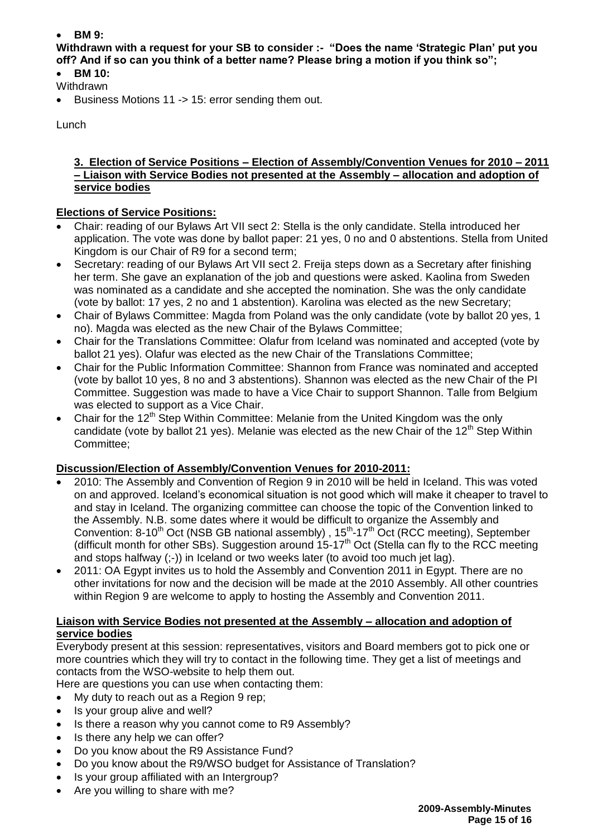# **BM 9:**

# **Withdrawn with a request for your SB to consider :- "Does the name "Strategic Plan" put you off? And if so can you think of a better name? Please bring a motion if you think so";**

# **BM 10:**

- **Withdrawn**
- Business Motions 11 -> 15: error sending them out.

# Lunch

#### **3. Election of Service Positions – Election of Assembly/Convention Venues for 2010 – 2011 – Liaison with Service Bodies not presented at the Assembly – allocation and adoption of service bodies**

# **Elections of Service Positions:**

- Chair: reading of our Bylaws Art VII sect 2: Stella is the only candidate. Stella introduced her application. The vote was done by ballot paper: 21 yes, 0 no and 0 abstentions. Stella from United Kingdom is our Chair of R9 for a second term;
- Secretary: reading of our Bylaws Art VII sect 2. Freija steps down as a Secretary after finishing her term. She gave an explanation of the job and questions were asked. Kaolina from Sweden was nominated as a candidate and she accepted the nomination. She was the only candidate (vote by ballot: 17 yes, 2 no and 1 abstention). Karolina was elected as the new Secretary;
- Chair of Bylaws Committee: Magda from Poland was the only candidate (vote by ballot 20 yes, 1 no). Magda was elected as the new Chair of the Bylaws Committee;
- Chair for the Translations Committee: Olafur from Iceland was nominated and accepted (vote by ballot 21 yes). Olafur was elected as the new Chair of the Translations Committee;
- Chair for the Public Information Committee: Shannon from France was nominated and accepted (vote by ballot 10 yes, 8 no and 3 abstentions). Shannon was elected as the new Chair of the PI Committee. Suggestion was made to have a Vice Chair to support Shannon. Talle from Belgium was elected to support as a Vice Chair.
- Chair for the  $12<sup>th</sup>$  Step Within Committee: Melanie from the United Kingdom was the only candidate (vote by ballot 21 yes). Melanie was elected as the new Chair of the  $12<sup>th</sup>$  Step Within Committee;

# **Discussion/Election of Assembly/Convention Venues for 2010-2011:**

- 2010: The Assembly and Convention of Region 9 in 2010 will be held in Iceland. This was voted on and approved. Iceland"s economical situation is not good which will make it cheaper to travel to and stay in Iceland. The organizing committee can choose the topic of the Convention linked to the Assembly. N.B. some dates where it would be difficult to organize the Assembly and Convention: 8-10<sup>th</sup> Oct (NSB GB national assembly),  $15<sup>th</sup>$ -17<sup>th</sup> Oct (RCC meeting), September (difficult month for other SBs). Suggestion around  $15-17<sup>th</sup>$  Oct (Stella can fly to the RCC meeting and stops halfway (;-)) in Iceland or two weeks later (to avoid too much jet lag).
- 2011: OA Egypt invites us to hold the Assembly and Convention 2011 in Egypt. There are no other invitations for now and the decision will be made at the 2010 Assembly. All other countries within Region 9 are welcome to apply to hosting the Assembly and Convention 2011.

### **Liaison with Service Bodies not presented at the Assembly – allocation and adoption of service bodies**

Everybody present at this session: representatives, visitors and Board members got to pick one or more countries which they will try to contact in the following time. They get a list of meetings and contacts from the WSO-website to help them out.

Here are questions you can use when contacting them:

- My duty to reach out as a Region 9 rep;
- Is your group alive and well?
- Is there a reason why you cannot come to R9 Assembly?
- Is there any help we can offer?
- Do you know about the R9 Assistance Fund?
- Do you know about the R9/WSO budget for Assistance of Translation?
- Is your group affiliated with an Intergroup?
- Are you willing to share with me?